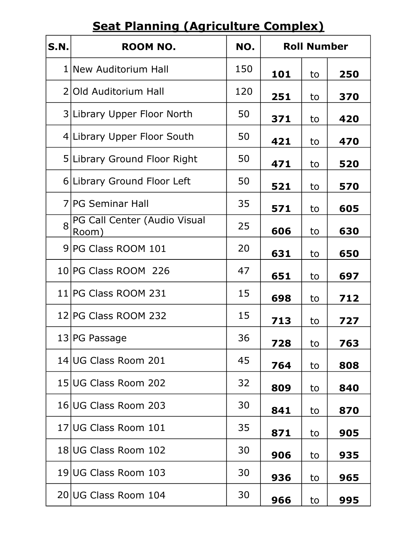## Seat Planning (Agriculture Complex)

| <b>S.N.</b> | <b>ROOM NO.</b>                       | NO. | <b>Roll Number</b> |    |     |
|-------------|---------------------------------------|-----|--------------------|----|-----|
|             | 1 New Auditorium Hall                 | 150 | 101                | to | 250 |
|             | 2 Old Auditorium Hall                 | 120 | 251                | to | 370 |
|             | 3 Library Upper Floor North           | 50  | 371                | to | 420 |
|             | 4 Library Upper Floor South           | 50  | 421                | to | 470 |
|             | 5 Library Ground Floor Right          | 50  | 471                | to | 520 |
|             | 6 Library Ground Floor Left           | 50  | 521                | to | 570 |
|             | 7 PG Seminar Hall                     | 35  | 571                | to | 605 |
| 8           | PG Call Center (Audio Visual<br>Room) | 25  | 606                | to | 630 |
|             | 9 PG Class ROOM 101                   | 20  | 631                | to | 650 |
|             | 10 PG Class ROOM 226                  | 47  | 651                | to | 697 |
|             | 11 PG Class ROOM 231                  | 15  | 698                | to | 712 |
|             | 12 PG Class ROOM 232                  | 15  | 713                | to | 727 |
|             | 13 PG Passage                         | 36  | 728                | to | 763 |
|             | 14 UG Class Room 201                  | 45  | 764                | to | 808 |
|             | 15 UG Class Room 202                  | 32  | 809                | to | 840 |
|             | 16 UG Class Room 203                  | 30  | 841                | to | 870 |
|             | 17 UG Class Room 101                  | 35  | 871                | to | 905 |
|             | 18 UG Class Room 102                  | 30  | 906                | to | 935 |
|             | 19 UG Class Room 103                  | 30  | 936                | to | 965 |
|             | 20 UG Class Room 104                  | 30  | 966                | to | 995 |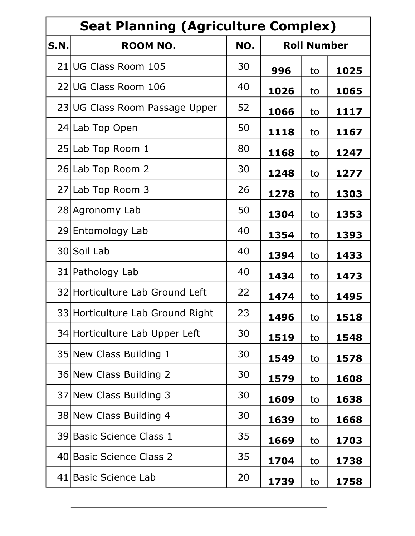| <b>Seat Planning (Agriculture Complex)</b> |                                  |     |                    |    |      |
|--------------------------------------------|----------------------------------|-----|--------------------|----|------|
| <b>S.N.</b>                                | <b>ROOM NO.</b>                  | NO. | <b>Roll Number</b> |    |      |
|                                            | 21 UG Class Room 105             | 30  | 996                | to | 1025 |
|                                            | 22 UG Class Room 106             | 40  | 1026               | to | 1065 |
|                                            | 23 UG Class Room Passage Upper   | 52  | 1066               | to | 1117 |
|                                            | 24 Lab Top Open                  | 50  | 1118               | to | 1167 |
|                                            | 25 Lab Top Room 1                | 80  | 1168               | to | 1247 |
|                                            | 26 Lab Top Room 2                | 30  | 1248               | to | 1277 |
|                                            | 27 Lab Top Room 3                | 26  | 1278               | to | 1303 |
|                                            | 28 Agronomy Lab                  | 50  | 1304               | to | 1353 |
|                                            | 29 Entomology Lab                | 40  | 1354               | to | 1393 |
|                                            | 30 Soil Lab                      | 40  | 1394               | to | 1433 |
|                                            | 31 Pathology Lab                 | 40  | 1434               | to | 1473 |
|                                            | 32 Horticulture Lab Ground Left  | 22  | 1474               | to | 1495 |
|                                            | 33 Horticulture Lab Ground Right | 23  | 1496               | to | 1518 |
|                                            | 34 Horticulture Lab Upper Left   | 30  | 1519               | to | 1548 |
|                                            | 35 New Class Building 1          | 30  | 1549               | to | 1578 |
|                                            | 36 New Class Building 2          | 30  | 1579               | to | 1608 |
|                                            | 37 New Class Building 3          | 30  | 1609               | to | 1638 |
|                                            | 38 New Class Building 4          | 30  | 1639               | to | 1668 |
|                                            | 39 Basic Science Class 1         | 35  | 1669               | to | 1703 |
|                                            | 40 Basic Science Class 2         | 35  | 1704               | to | 1738 |
|                                            | 41 Basic Science Lab             | 20  | 1739               | to | 1758 |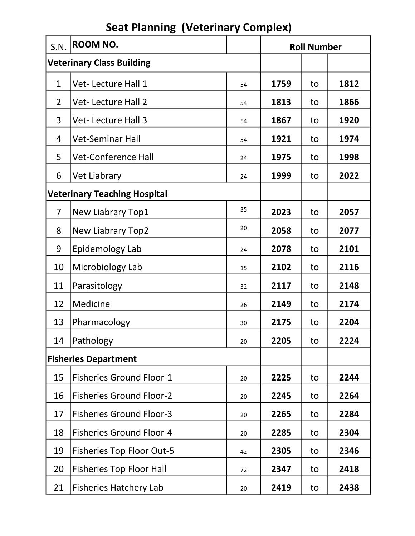| S.N.                        | <b>ROOM NO.</b>                     |    | <b>Roll Number</b> |    |      |
|-----------------------------|-------------------------------------|----|--------------------|----|------|
|                             | <b>Veterinary Class Building</b>    |    |                    |    |      |
| $\mathbf{1}$                | Vet-Lecture Hall 1                  | 54 | 1759               | to | 1812 |
| $\overline{2}$              | <b>Vet-Lecture Hall 2</b>           | 54 | 1813               | to | 1866 |
| 3                           | <b>Vet-Lecture Hall 3</b>           | 54 | 1867               | to | 1920 |
| 4                           | <b>Vet-Seminar Hall</b>             | 54 | 1921               | to | 1974 |
| 5                           | <b>Vet-Conference Hall</b>          | 24 | 1975               | to | 1998 |
| 6                           | <b>Vet Liabrary</b>                 | 24 | 1999               | to | 2022 |
|                             | <b>Veterinary Teaching Hospital</b> |    |                    |    |      |
| $\overline{7}$              | New Liabrary Top1                   | 35 | 2023               | to | 2057 |
| 8                           | New Liabrary Top2                   | 20 | 2058               | to | 2077 |
| 9                           | Epidemology Lab                     | 24 | 2078               | to | 2101 |
| 10                          | Microbiology Lab                    | 15 | 2102               | to | 2116 |
| 11                          | Parasitology                        | 32 | 2117               | to | 2148 |
| 12                          | Medicine                            | 26 | 2149               | to | 2174 |
| 13                          | Pharmacology                        | 30 | 2175               | to | 2204 |
| 14                          | Pathology                           | 20 | 2205               | to | 2224 |
| <b>Fisheries Department</b> |                                     |    |                    |    |      |
| 15                          | <b>Fisheries Ground Floor-1</b>     | 20 | 2225               | to | 2244 |
| 16                          | <b>Fisheries Ground Floor-2</b>     | 20 | 2245               | to | 2264 |
| 17                          | <b>Fisheries Ground Floor-3</b>     | 20 | 2265               | to | 2284 |
| 18                          | <b>Fisheries Ground Floor-4</b>     | 20 | 2285               | to | 2304 |
| 19                          | <b>Fisheries Top Floor Out-5</b>    | 42 | 2305               | to | 2346 |
| 20                          | <b>Fisheries Top Floor Hall</b>     | 72 | 2347               | to | 2418 |
| 21                          | <b>Fisheries Hatchery Lab</b>       | 20 | 2419               | to | 2438 |

## Seat Planning (Veterinary Complex)